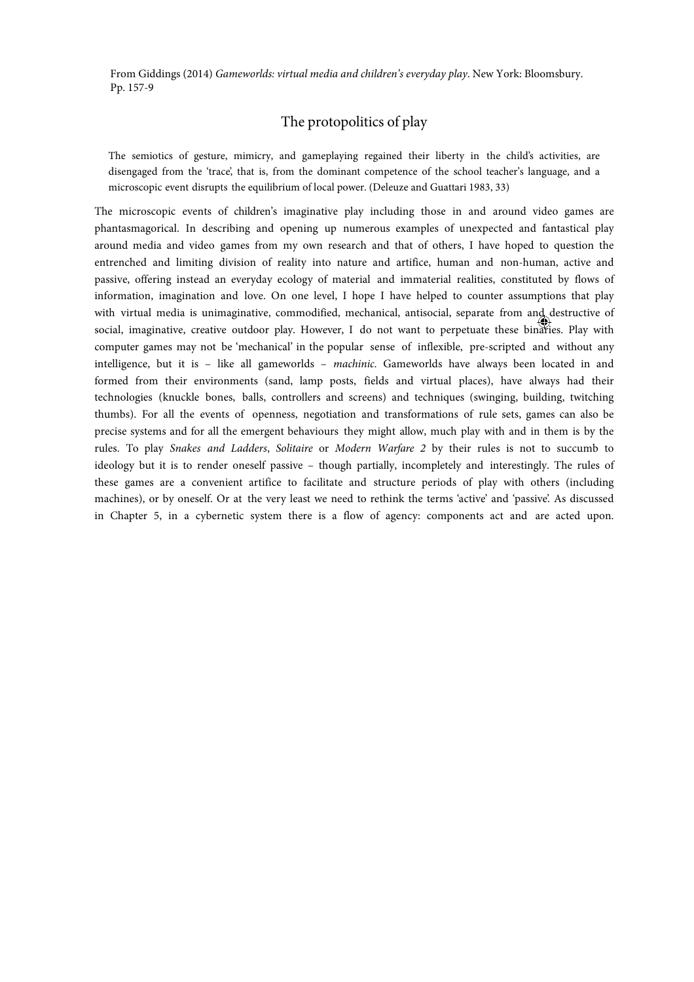From Giddings (2014) *Gameworlds: virtual media and children's everyday play*. New York: Bloomsbury. Pp. 157-9

## The protopolitics of play

The semiotics of gesture, mimicry, and gameplaying regained their liberty in the child's activities, are disengaged from the 'trace', that is, from the dominant competence of the school teacher's language, and a microscopic event disrupts the equilibrium of local power. (Deleuze and Guattari 1983, 33)

The microscopic events of children's imaginative play including those in and around video games are phantasmagorical. In describing and opening up numerous examples of unexpected and fantastical play around media and video games from my own research and that of others, I have hoped to question the entrenched and limiting division of reality into nature and artifice, human and non-human, active and passive, offering instead an everyday ecology of material and immaterial realities, constituted by flows of information, imagination and love. On one level, I hope I have helped to counter assumptions that play with virtual media is unimaginative, commodified, mechanical, antisocial, separate from and destructive of social, imaginative, creative outdoor play. However, I do not want to perpetuate these binaries. Play with computer games may not be 'mechanical' in the popular sense of inflexible, pre-scripted and without any intelligence, but it is – like all gameworlds – *machinic*. Gameworlds have always been located in and formed from their environments (sand, lamp posts, fields and virtual places), have always had their technologies (knuckle bones, balls, controllers and screens) and techniques (swinging, building, twitching thumbs). For all the events of openness, negotiation and transformations of rule sets, games can also be precise systems and for all the emergent behaviours they might allow, much play with and in them is by the rules. To play *Snakes and Ladders*, *Solitaire* or *Modern Warfare 2* by their rules is not to succumb to ideology but it is to render oneself passive – though partially, incompletely and interestingly. The rules of these games are a convenient artifice to facilitate and structure periods of play with others (including machines), or by oneself. Or at the very least we need to rethink the terms 'active' and 'passive'. As discussed in Chapter 5, in a cybernetic system there is a flow of agency: components act and are acted upon.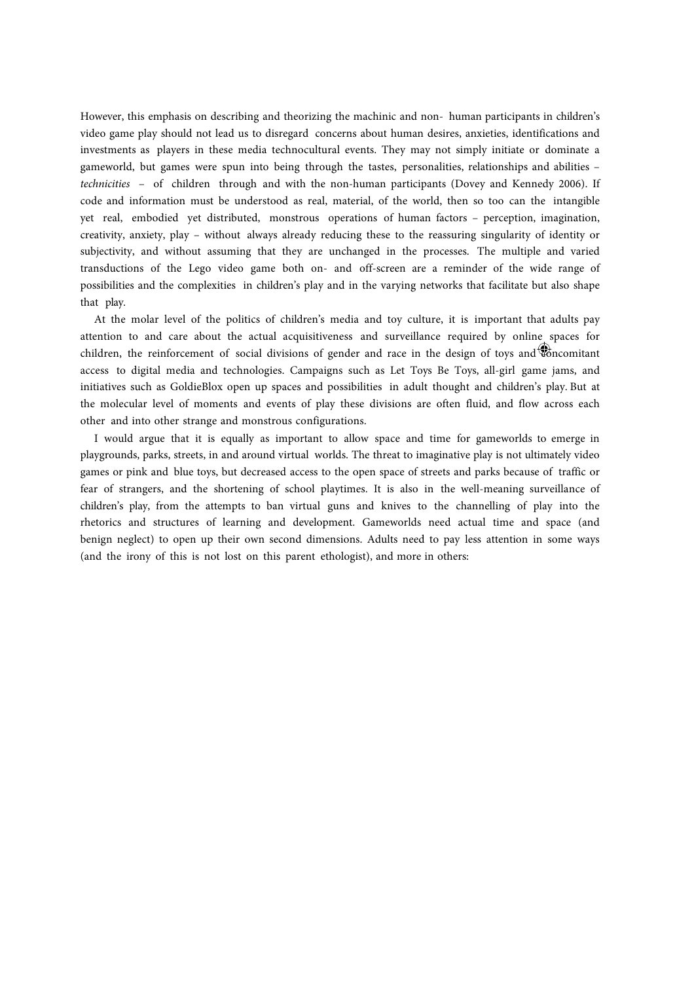However, this emphasis on describing and theorizing the machinic and non- human participants in children's video game play should not lead us to disregard concerns about human desires, anxieties, identifications and investments as players in these media technocultural events. They may not simply initiate or dominate a gameworld, but games were spun into being through the tastes, personalities, relationships and abilities – *technicities* – of children through and with the non-human participants (Dovey and Kennedy 2006). If code and information must be understood as real, material, of the world, then so too can the intangible yet real, embodied yet distributed, monstrous operations of human factors – perception, imagination, creativity, anxiety, play – without always already reducing these to the reassuring singularity of identity or subjectivity, and without assuming that they are unchanged in the processes. The multiple and varied transductions of the Lego video game both on- and off-screen are a reminder of the wide range of possibilities and the complexities in children's play and in the varying networks that facilitate but also shape that play.

At the molar level of the politics of children's media and toy culture, it is important that adults pay attention to and care about the actual acquisitiveness and surveillance required by online spaces for children, the reinforcement of social divisions of gender and race in the design of toys and  $\bullet$  comitant access to digital media and technologies. Campaigns such as Let Toys Be Toys, all-girl game jams, and initiatives such as GoldieBlox open up spaces and possibilities in adult thought and children's play. But at the molecular level of moments and events of play these divisions are often fluid, and flow across each other and into other strange and monstrous configurations.

I would argue that it is equally as important to allow space and time for gameworlds to emerge in playgrounds, parks, streets, in and around virtual worlds. The threat to imaginative play is not ultimately video games or pink and blue toys, but decreased access to the open space of streets and parks because of traffic or fear of strangers, and the shortening of school playtimes. It is also in the well-meaning surveillance of children's play, from the attempts to ban virtual guns and knives to the channelling of play into the rhetorics and structures of learning and development. Gameworlds need actual time and space (and benign neglect) to open up their own second dimensions. Adults need to pay less attention in some ways (and the irony of this is not lost on this parent ethologist), and more in others: